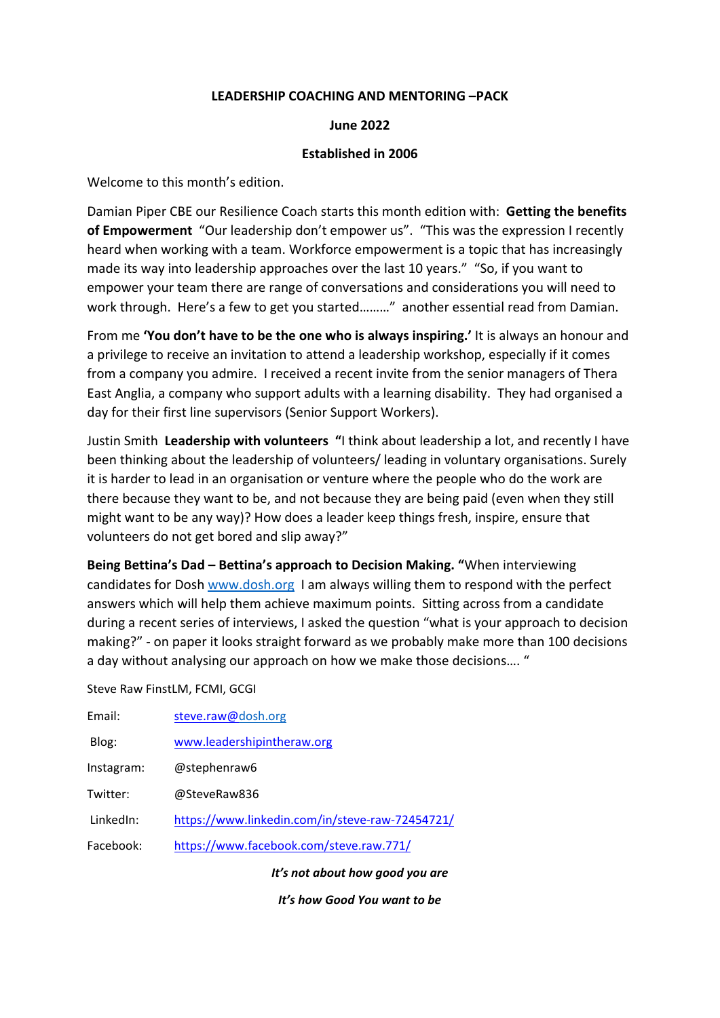#### **LEADERSHIP COACHING AND MENTORING –PACK**

#### **June 2022**

#### **Established in 2006**

Welcome to this month's edition.

Damian Piper CBE our Resilience Coach starts this month edition with: **Getting the benefits of Empowerment** "Our leadership don't empower us". "This was the expression I recently heard when working with a team. Workforce empowerment is a topic that has increasingly made its way into leadership approaches over the last 10 years." "So, if you want to empower your team there are range of conversations and considerations you will need to work through. Here's a few to get you started………" another essential read from Damian.

From me **'You don't have to be the one who is always inspiring.'** It is always an honour and a privilege to receive an invitation to attend a leadership workshop, especially if it comes from a company you admire. I received a recent invite from the senior managers of Thera East Anglia, a company who support adults with a learning disability. They had organised a day for their first line supervisors (Senior Support Workers).

Justin Smith **Leadership with volunteers "**I think about leadership a lot, and recently I have been thinking about the leadership of volunteers/ leading in voluntary organisations. Surely it is harder to lead in an organisation or venture where the people who do the work are there because they want to be, and not because they are being paid (even when they still might want to be any way)? How does a leader keep things fresh, inspire, ensure that volunteers do not get bored and slip away?"

**Being Bettina's Dad – Bettina's approach to Decision Making. "**When interviewing candidates for Dosh [www.dosh.org](http://www.dosh.org/) I am always willing them to respond with the perfect answers which will help them achieve maximum points. Sitting across from a candidate during a recent series of interviews, I asked the question "what is your approach to decision making?" - on paper it looks straight forward as we probably make more than 100 decisions a day without analysing our approach on how we make those decisions…. "

Steve Raw FinstLM, FCMI, GCGI

| Email:     | steve.raw@dosh.org                              |
|------------|-------------------------------------------------|
| Blog:      | www.leadershipintheraw.org                      |
| Instagram: | @stephenraw6                                    |
| Twitter:   | @SteveRaw836                                    |
| LinkedIn:  | https://www.linkedin.com/in/steve-raw-72454721/ |
| Facebook:  | https://www.facebook.com/steve.raw.771/         |
|            |                                                 |

*It's not about how good you are* 

*It's how Good You want to be*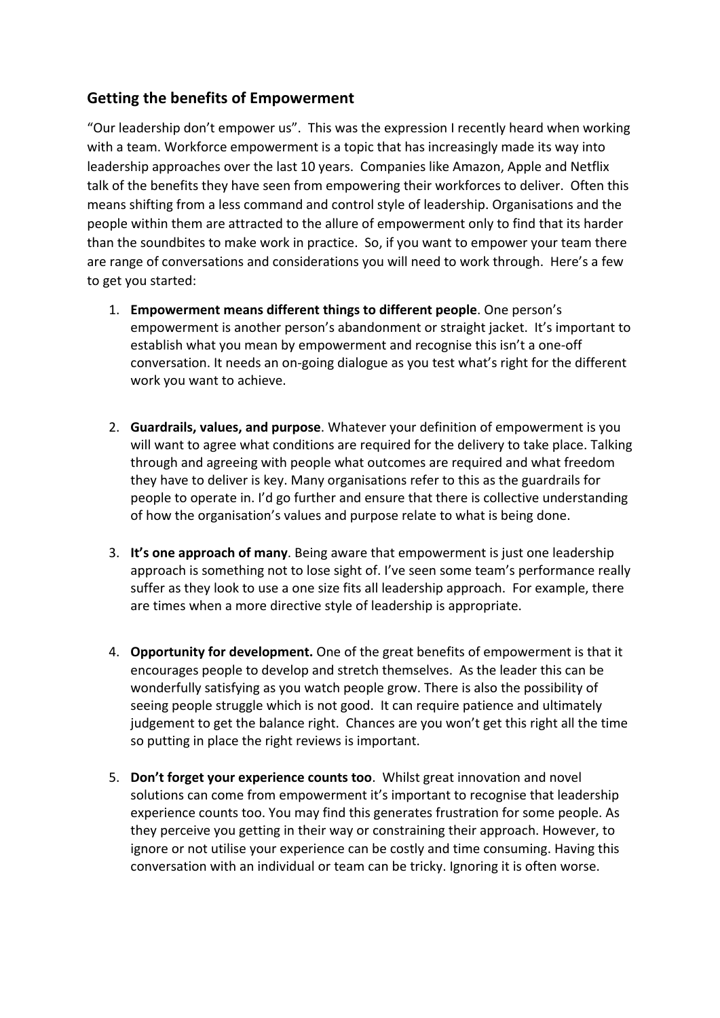# **Getting the benefits of Empowerment**

"Our leadership don't empower us". This was the expression I recently heard when working with a team. Workforce empowerment is a topic that has increasingly made its way into leadership approaches over the last 10 years. Companies like Amazon, Apple and Netflix talk of the benefits they have seen from empowering their workforces to deliver. Often this means shifting from a less command and control style of leadership. Organisations and the people within them are attracted to the allure of empowerment only to find that its harder than the soundbites to make work in practice. So, if you want to empower your team there are range of conversations and considerations you will need to work through. Here's a few to get you started:

- 1. **Empowerment means different things to different people**. One person's empowerment is another person's abandonment or straight jacket. It's important to establish what you mean by empowerment and recognise this isn't a one-off conversation. It needs an on-going dialogue as you test what's right for the different work you want to achieve.
- 2. **Guardrails, values, and purpose**. Whatever your definition of empowerment is you will want to agree what conditions are required for the delivery to take place. Talking through and agreeing with people what outcomes are required and what freedom they have to deliver is key. Many organisations refer to this as the guardrails for people to operate in. I'd go further and ensure that there is collective understanding of how the organisation's values and purpose relate to what is being done.
- 3. **It's one approach of many**. Being aware that empowerment is just one leadership approach is something not to lose sight of. I've seen some team's performance really suffer as they look to use a one size fits all leadership approach. For example, there are times when a more directive style of leadership is appropriate.
- 4. **Opportunity for development.** One of the great benefits of empowerment is that it encourages people to develop and stretch themselves. As the leader this can be wonderfully satisfying as you watch people grow. There is also the possibility of seeing people struggle which is not good. It can require patience and ultimately judgement to get the balance right. Chances are you won't get this right all the time so putting in place the right reviews is important.
- 5. **Don't forget your experience counts too**. Whilst great innovation and novel solutions can come from empowerment it's important to recognise that leadership experience counts too. You may find this generates frustration for some people. As they perceive you getting in their way or constraining their approach. However, to ignore or not utilise your experience can be costly and time consuming. Having this conversation with an individual or team can be tricky. Ignoring it is often worse.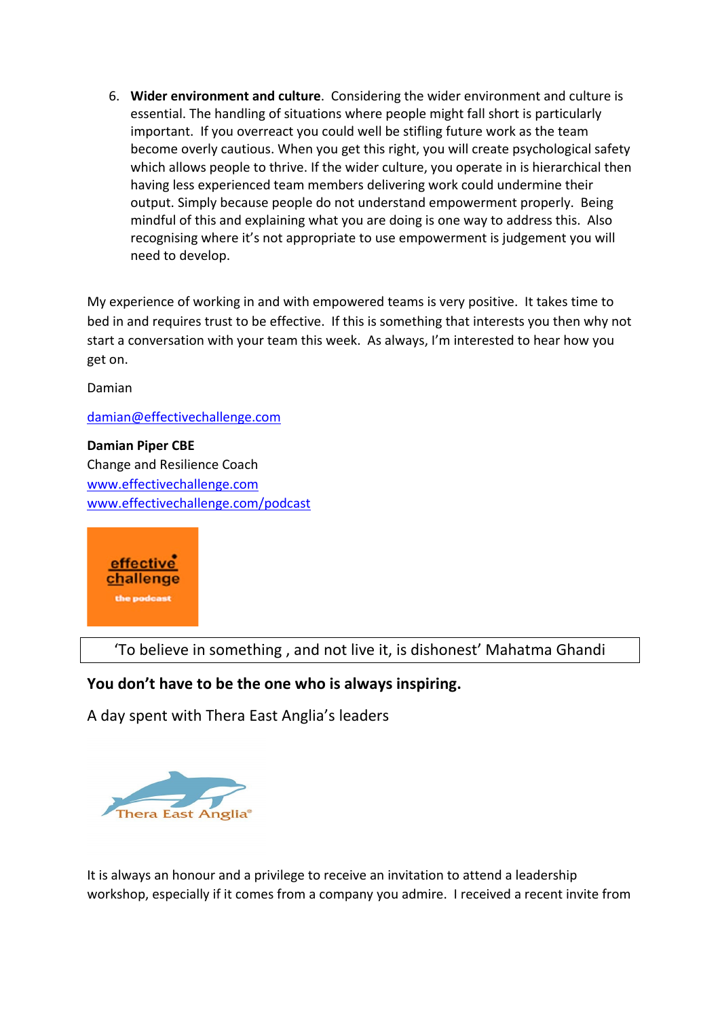6. **Wider environment and culture**. Considering the wider environment and culture is essential. The handling of situations where people might fall short is particularly important. If you overreact you could well be stifling future work as the team become overly cautious. When you get this right, you will create psychological safety which allows people to thrive. If the wider culture, you operate in is hierarchical then having less experienced team members delivering work could undermine their output. Simply because people do not understand empowerment properly. Being mindful of this and explaining what you are doing is one way to address this. Also recognising where it's not appropriate to use empowerment is judgement you will need to develop.

My experience of working in and with empowered teams is very positive. It takes time to bed in and requires trust to be effective. If this is something that interests you then why not start a conversation with your team this week. As always, I'm interested to hear how you get on.

Damian

#### [damian@effectivechallenge.com](mailto:damian@effectivechallenge.com)

**Damian Piper CBE** Change and Resilience Coach [www.effectivechallenge.com](https://protect-eu.mimecast.com/s/mv1NCwjkjFlqklf997in?domain=effectivechallenge.com) [www.effectivechallenge.com/podcast](https://protect-eu.mimecast.com/s/bxg-CxGlGHE7DEHw3d0h?domain=effectivechallenge.com) 



'To believe in something , and not live it, is dishonest' Mahatma Ghandi

## **You don't have to be the one who is always inspiring.**

A day spent with Thera East Anglia's leaders



It is always an honour and a privilege to receive an invitation to attend a leadership workshop, especially if it comes from a company you admire. I received a recent invite from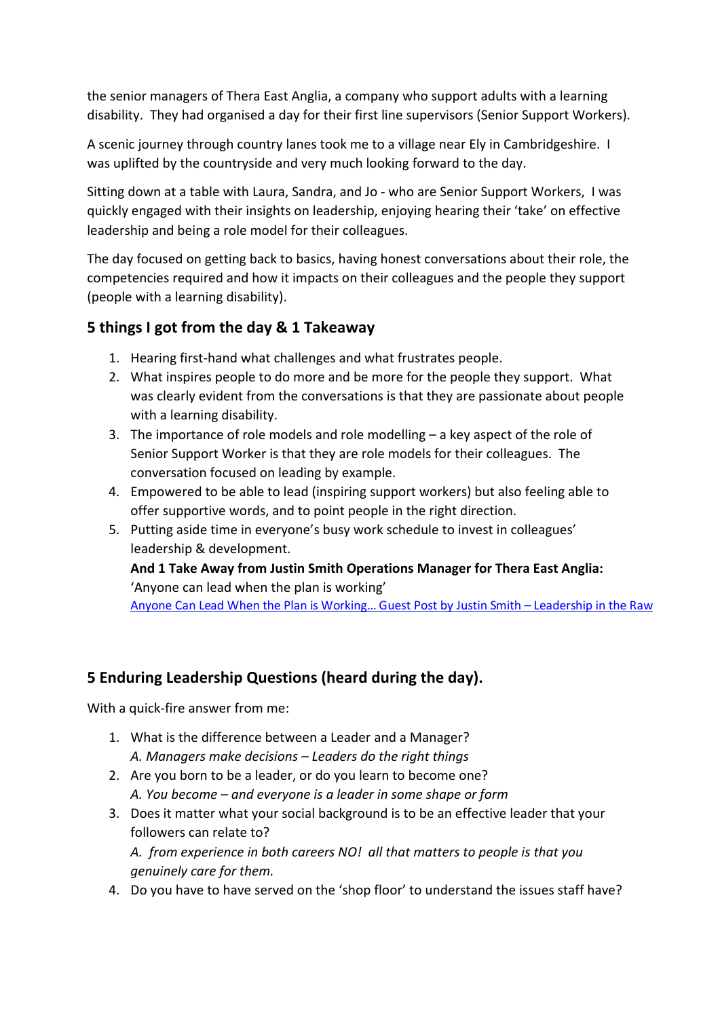the senior managers of Thera East Anglia, a company who support adults with a learning disability. They had organised a day for their first line supervisors (Senior Support Workers).

A scenic journey through country lanes took me to a village near Ely in Cambridgeshire. I was uplifted by the countryside and very much looking forward to the day.

Sitting down at a table with Laura, Sandra, and Jo - who are Senior Support Workers, I was quickly engaged with their insights on leadership, enjoying hearing their 'take' on effective leadership and being a role model for their colleagues.

The day focused on getting back to basics, having honest conversations about their role, the competencies required and how it impacts on their colleagues and the people they support (people with a learning disability).

# **5 things I got from the day & 1 Takeaway**

- 1. Hearing first-hand what challenges and what frustrates people.
- 2. What inspires people to do more and be more for the people they support. What was clearly evident from the conversations is that they are passionate about people with a learning disability.
- 3. The importance of role models and role modelling a key aspect of the role of Senior Support Worker is that they are role models for their colleagues. The conversation focused on leading by example.
- 4. Empowered to be able to lead (inspiring support workers) but also feeling able to offer supportive words, and to point people in the right direction.
- 5. Putting aside time in everyone's busy work schedule to invest in colleagues' leadership & development.

# **And 1 Take Away from Justin Smith Operations Manager for Thera East Anglia:** 'Anyone can lead when the plan is working'

Anyone Can Lead When the Plan is Working… Guest Post by Justin Smith – Leadership in the Raw

# **5 Enduring Leadership Questions (heard during the day).**

With a quick-fire answer from me:

- 1. What is the difference between a Leader and a Manager? *A. Managers make decisions – Leaders do the right things*
- 2. Are you born to be a leader, or do you learn to become one? *A. You become – and everyone is a leader in some shape or form*
- 3. Does it matter what your social background is to be an effective leader that your followers can relate to? *A. from experience in both careers NO! all that matters to people is that you* 
	- *genuinely care for them.*
- 4. Do you have to have served on the 'shop floor' to understand the issues staff have?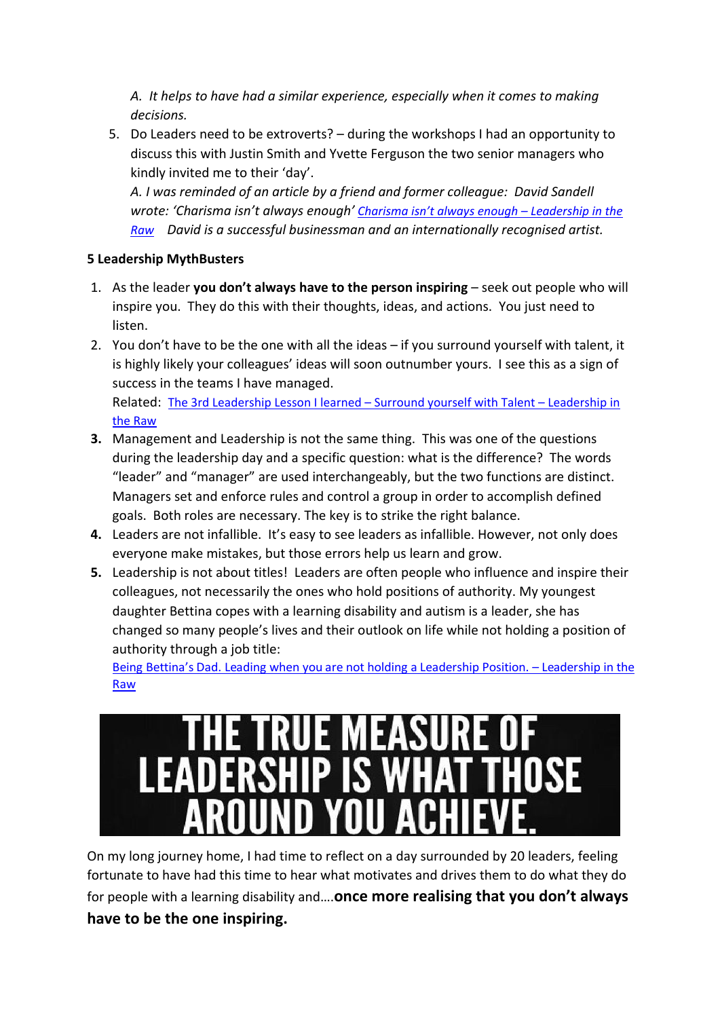*A. It helps to have had a similar experience, especially when it comes to making decisions.*

5. Do Leaders need to be extroverts? – during the workshops I had an opportunity to discuss this with Justin Smith and Yvette Ferguson the two senior managers who kindly invited me to their 'day'.

*A. I was reminded of an article by a friend and former colleague: David Sandell wrote: 'Charisma isn't always enough' [Charisma isn't always enough – Leadership in the](https://leadershipintheraw.org/2015/01/13/charisma-isnt-always-enough/)  [Raw](https://leadershipintheraw.org/2015/01/13/charisma-isnt-always-enough/) David is a successful businessman and an internationally recognised artist.*

## **5 Leadership MythBusters**

- 1. As the leader **you don't always have to the person inspiring** seek out people who will inspire you. They do this with their thoughts, ideas, and actions. You just need to listen.
- 2. You don't have to be the one with all the ideas if you surround yourself with talent, it is highly likely your colleagues' ideas will soon outnumber yours. I see this as a sign of success in the teams I have managed. Related: [The 3rd Leadership Lesson I learned – Surround yourself with Talent – Leadership in](https://leadershipintheraw.org/2022/04/14/the-3rd-leadership-lesson-i-learned-surround-yourself-with-talent/)

[the Raw](https://leadershipintheraw.org/2022/04/14/the-3rd-leadership-lesson-i-learned-surround-yourself-with-talent/)

- **3.** Management and Leadership is not the same thing. This was one of the questions during the leadership day and a specific question: what is the difference? The words "leader" and "manager" are used interchangeably, but the two functions are distinct. Managers set and enforce rules and control a group in order to accomplish defined goals. Both roles are necessary. The key is to strike the right balance.
- **4.** Leaders are not infallible. It's easy to see leaders as infallible. However, not only does everyone make mistakes, but those errors help us learn and grow.
- **5.** Leadership is not about titles! Leaders are often people who influence and inspire their colleagues, not necessarily the ones who hold positions of authority. My youngest daughter Bettina copes with a learning disability and autism is a leader, she has changed so many people's lives and their outlook on life while not holding a position of authority through a job title:

Being Bettina's Dad. Leading when you are not holding a Leadership Position. – Leadership in the Raw



On my long journey home, I had time to reflect on a day surrounded by 20 leaders, feeling fortunate to have had this time to hear what motivates and drives them to do what they do for people with a learning disability and….**once more realising that you don't always have to be the one inspiring.**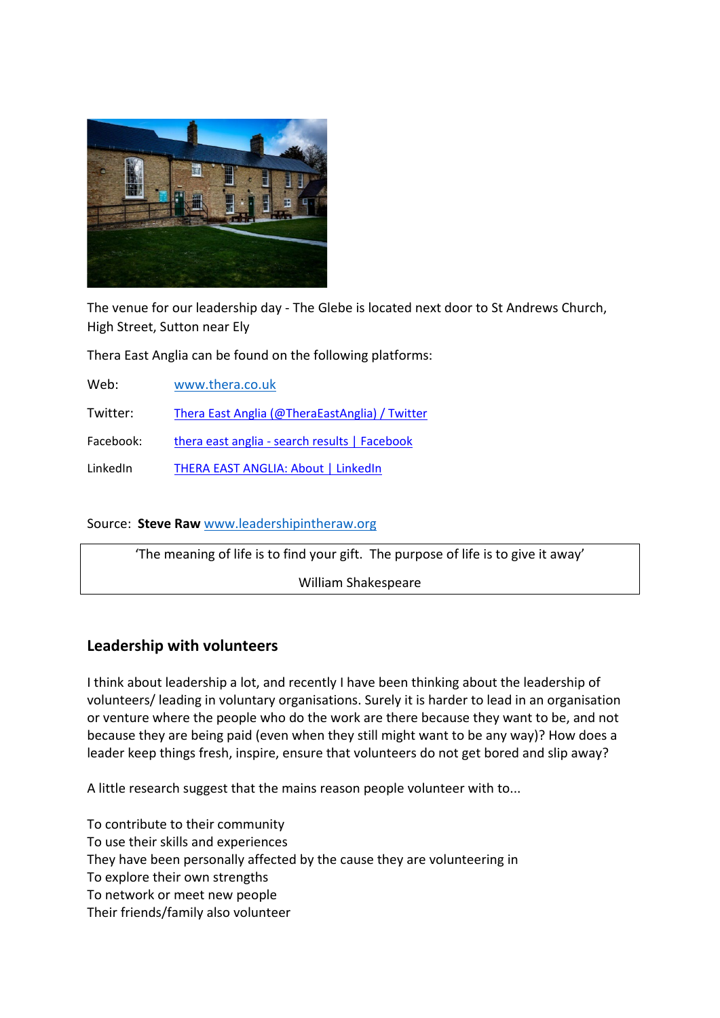

The venue for our leadership day - The Glebe is located next door to St Andrews Church, High Street, Sutton near Ely

Thera East Anglia can be found on the following platforms:

Web: [www.thera.co.uk](http://www.thera.co.uk/) 

Twitter: [Thera East Anglia \(@TheraEastAnglia\) / Twitter](https://mobile.twitter.com/TheraEastAnglia)

Facebook: [thera east anglia - search results | Facebook](https://www.facebook.com/search/top?q=thera%20east%20anglia)

LinkedIn THERA EAST ANGLIA: About | LinkedIn

#### Source: **Steve Raw** [www.leadershipintheraw.org](http://www.leadershipintheraw.org/)

'The meaning of life is to find your gift. The purpose of life is to give it away' William Shakespeare

## **Leadership with volunteers**

I think about leadership a lot, and recently I have been thinking about the leadership of volunteers/ leading in voluntary organisations. Surely it is harder to lead in an organisation or venture where the people who do the work are there because they want to be, and not because they are being paid (even when they still might want to be any way)? How does a leader keep things fresh, inspire, ensure that volunteers do not get bored and slip away?

A little research suggest that the mains reason people volunteer with to...

To contribute to their community To use their skills and experiences They have been personally affected by the cause they are volunteering in To explore their own strengths To network or meet new people Their friends/family also volunteer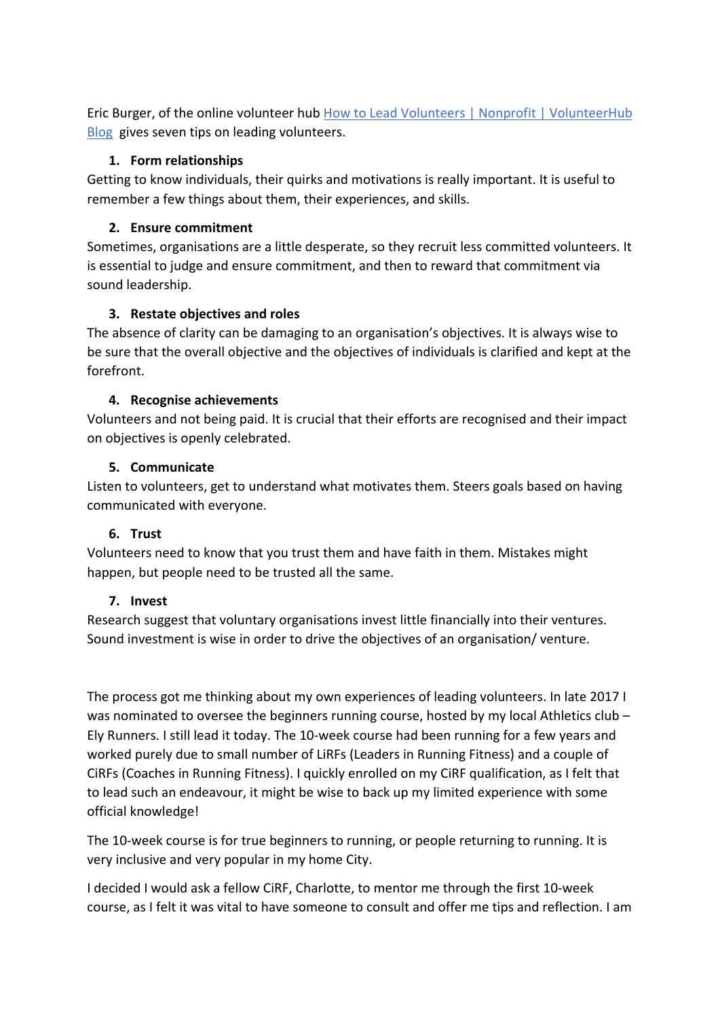Eric Burger, of the online volunteer hub How to Lead Volunteers | Nonprofit | VolunteerHub [Blog](https://www.volunteerhub.com/blog/lead-volunteers-tips/) gives seven tips on leading volunteers.

### **1. Form relationships**

Getting to know individuals, their quirks and motivations is really important. It is useful to remember a few things about them, their experiences, and skills.

## **2. Ensure commitment**

Sometimes, organisations are a little desperate, so they recruit less committed volunteers. It is essential to judge and ensure commitment, and then to reward that commitment via sound leadership.

### **3. Restate objectives and roles**

The absence of clarity can be damaging to an organisation's objectives. It is always wise to be sure that the overall objective and the objectives of individuals is clarified and kept at the forefront.

### **4. Recognise achievements**

Volunteers and not being paid. It is crucial that their efforts are recognised and their impact on objectives is openly celebrated.

### **5. Communicate**

Listen to volunteers, get to understand what motivates them. Steers goals based on having communicated with everyone.

### **6. Trust**

Volunteers need to know that you trust them and have faith in them. Mistakes might happen, but people need to be trusted all the same.

### **7. Invest**

Research suggest that voluntary organisations invest little financially into their ventures. Sound investment is wise in order to drive the objectives of an organisation/ venture.

The process got me thinking about my own experiences of leading volunteers. In late 2017 I was nominated to oversee the beginners running course, hosted by my local Athletics club -Ely Runners. I still lead it today. The 10-week course had been running for a few years and worked purely due to small number of LiRFs (Leaders in Running Fitness) and a couple of CiRFs (Coaches in Running Fitness). I quickly enrolled on my CiRF qualification, as I felt that to lead such an endeavour, it might be wise to back up my limited experience with some official knowledge!

The 10-week course is for true beginners to running, or people returning to running. It is very inclusive and very popular in my home City.

I decided I would ask a fellow CiRF, Charlotte, to mentor me through the first 10-week course, as I felt it was vital to have someone to consult and offer me tips and reflection. I am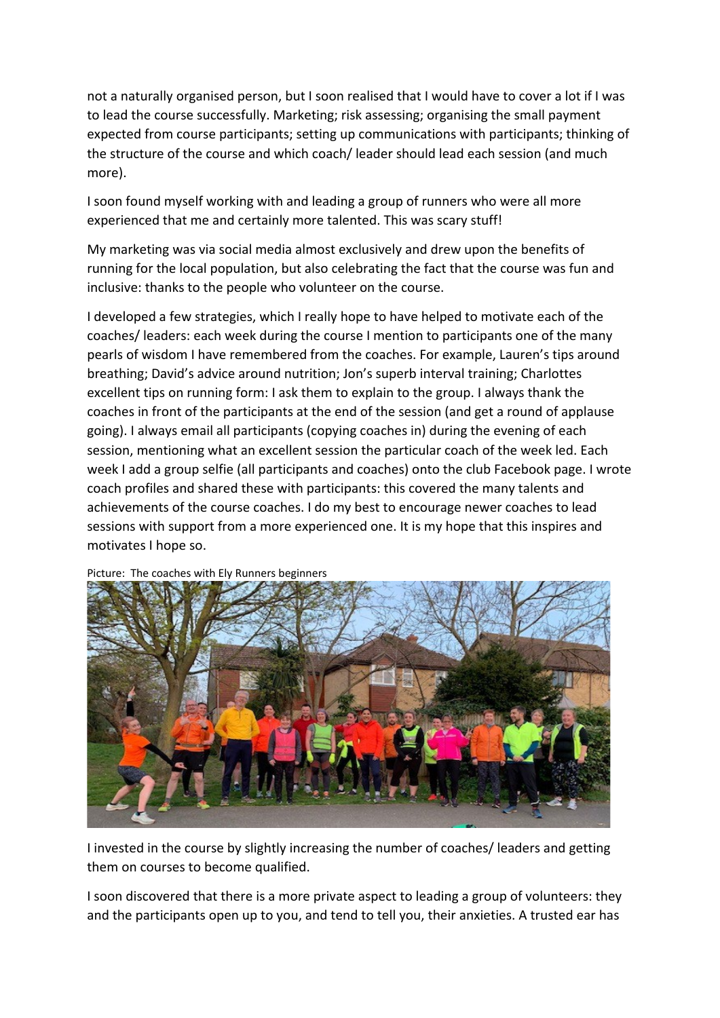not a naturally organised person, but I soon realised that I would have to cover a lot if I was to lead the course successfully. Marketing; risk assessing; organising the small payment expected from course participants; setting up communications with participants; thinking of the structure of the course and which coach/ leader should lead each session (and much more).

I soon found myself working with and leading a group of runners who were all more experienced that me and certainly more talented. This was scary stuff!

My marketing was via social media almost exclusively and drew upon the benefits of running for the local population, but also celebrating the fact that the course was fun and inclusive: thanks to the people who volunteer on the course.

I developed a few strategies, which I really hope to have helped to motivate each of the coaches/ leaders: each week during the course I mention to participants one of the many pearls of wisdom I have remembered from the coaches. For example, Lauren's tips around breathing; David's advice around nutrition; Jon's superb interval training; Charlottes excellent tips on running form: I ask them to explain to the group. I always thank the coaches in front of the participants at the end of the session (and get a round of applause going). I always email all participants (copying coaches in) during the evening of each session, mentioning what an excellent session the particular coach of the week led. Each week I add a group selfie (all participants and coaches) onto the club Facebook page. I wrote coach profiles and shared these with participants: this covered the many talents and achievements of the course coaches. I do my best to encourage newer coaches to lead sessions with support from a more experienced one. It is my hope that this inspires and motivates I hope so.



Picture: The coaches with Ely Runners beginners

I invested in the course by slightly increasing the number of coaches/ leaders and getting them on courses to become qualified.

I soon discovered that there is a more private aspect to leading a group of volunteers: they and the participants open up to you, and tend to tell you, their anxieties. A trusted ear has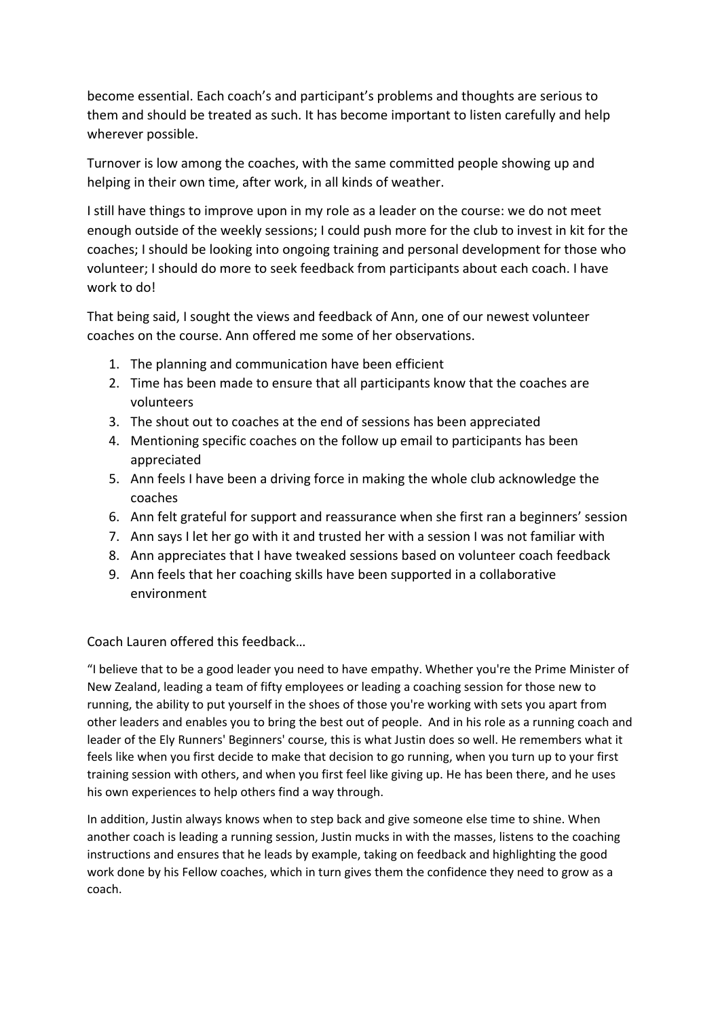become essential. Each coach's and participant's problems and thoughts are serious to them and should be treated as such. It has become important to listen carefully and help wherever possible.

Turnover is low among the coaches, with the same committed people showing up and helping in their own time, after work, in all kinds of weather.

I still have things to improve upon in my role as a leader on the course: we do not meet enough outside of the weekly sessions; I could push more for the club to invest in kit for the coaches; I should be looking into ongoing training and personal development for those who volunteer; I should do more to seek feedback from participants about each coach. I have work to do!

That being said, I sought the views and feedback of Ann, one of our newest volunteer coaches on the course. Ann offered me some of her observations.

- 1. The planning and communication have been efficient
- 2. Time has been made to ensure that all participants know that the coaches are volunteers
- 3. The shout out to coaches at the end of sessions has been appreciated
- 4. Mentioning specific coaches on the follow up email to participants has been appreciated
- 5. Ann feels I have been a driving force in making the whole club acknowledge the coaches
- 6. Ann felt grateful for support and reassurance when she first ran a beginners' session
- 7. Ann says I let her go with it and trusted her with a session I was not familiar with
- 8. Ann appreciates that I have tweaked sessions based on volunteer coach feedback
- 9. Ann feels that her coaching skills have been supported in a collaborative environment

Coach Lauren offered this feedback…

"I believe that to be a good leader you need to have empathy. Whether you're the Prime Minister of New Zealand, leading a team of fifty employees or leading a coaching session for those new to running, the ability to put yourself in the shoes of those you're working with sets you apart from other leaders and enables you to bring the best out of people. And in his role as a running coach and leader of the Ely Runners' Beginners' course, this is what Justin does so well. He remembers what it feels like when you first decide to make that decision to go running, when you turn up to your first training session with others, and when you first feel like giving up. He has been there, and he uses his own experiences to help others find a way through.

In addition, Justin always knows when to step back and give someone else time to shine. When another coach is leading a running session, Justin mucks in with the masses, listens to the coaching instructions and ensures that he leads by example, taking on feedback and highlighting the good work done by his Fellow coaches, which in turn gives them the confidence they need to grow as a coach.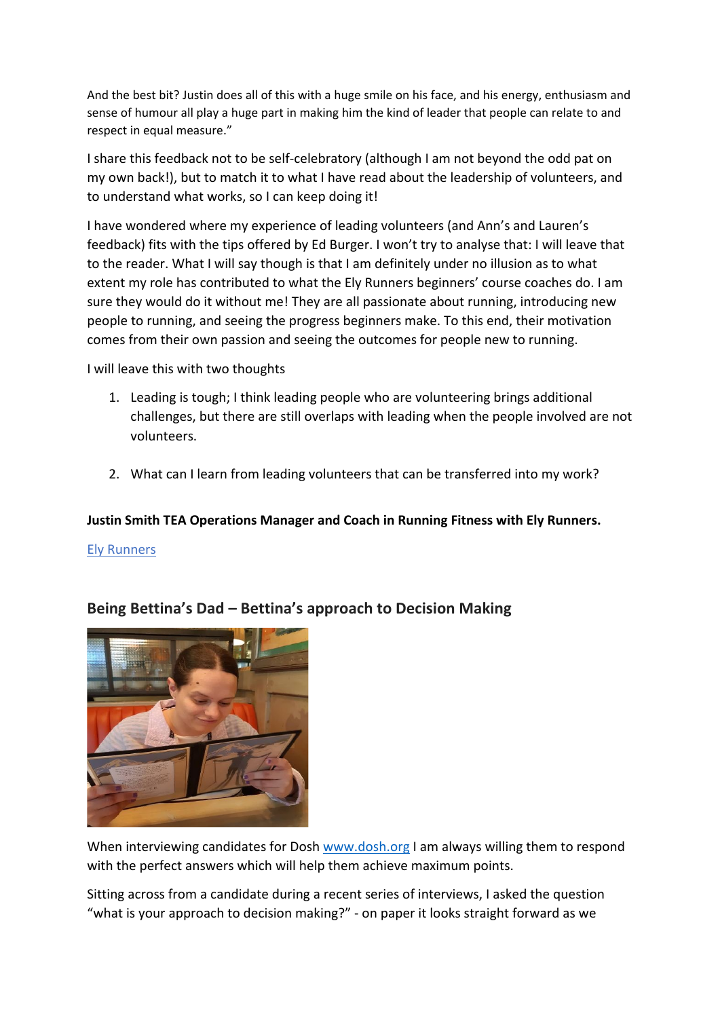And the best bit? Justin does all of this with a huge smile on his face, and his energy, enthusiasm and sense of humour all play a huge part in making him the kind of leader that people can relate to and respect in equal measure."

I share this feedback not to be self-celebratory (although I am not beyond the odd pat on my own back!), but to match it to what I have read about the leadership of volunteers, and to understand what works, so I can keep doing it!

I have wondered where my experience of leading volunteers (and Ann's and Lauren's feedback) fits with the tips offered by Ed Burger. I won't try to analyse that: I will leave that to the reader. What I will say though is that I am definitely under no illusion as to what extent my role has contributed to what the Ely Runners beginners' course coaches do. I am sure they would do it without me! They are all passionate about running, introducing new people to running, and seeing the progress beginners make. To this end, their motivation comes from their own passion and seeing the outcomes for people new to running.

I will leave this with two thoughts

- 1. Leading is tough; I think leading people who are volunteering brings additional challenges, but there are still overlaps with leading when the people involved are not volunteers.
- 2. What can I learn from leading volunteers that can be transferred into my work?

### **Justin Smith TEA Operations Manager and Coach in Running Fitness with Ely Runners.**

#### [Ely Runners](https://elyrunners.co.uk/)

## **Being Bettina's Dad – Bettina's approach to Decision Making**



When interviewing candidates for Dosh [www.dosh.org](http://www.dosh.org/) I am always willing them to respond with the perfect answers which will help them achieve maximum points.

Sitting across from a candidate during a recent series of interviews, I asked the question "what is your approach to decision making?" - on paper it looks straight forward as we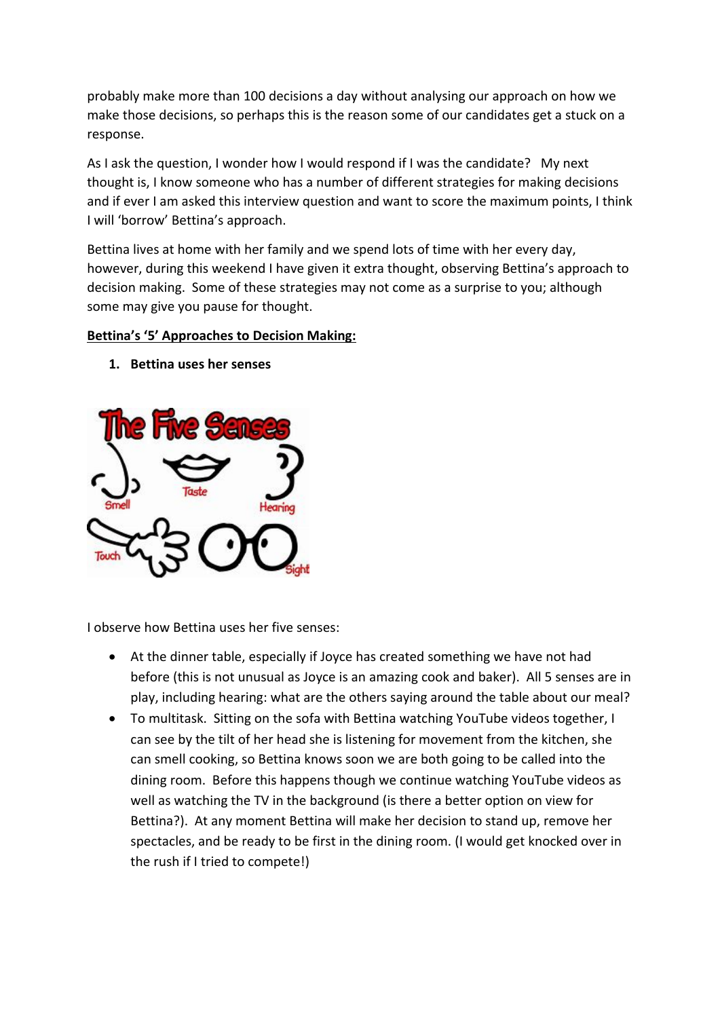probably make more than 100 decisions a day without analysing our approach on how we make those decisions, so perhaps this is the reason some of our candidates get a stuck on a response.

As I ask the question, I wonder how I would respond if I was the candidate? My next thought is, I know someone who has a number of different strategies for making decisions and if ever I am asked this interview question and want to score the maximum points, I think I will 'borrow' Bettina's approach.

Bettina lives at home with her family and we spend lots of time with her every day, however, during this weekend I have given it extra thought, observing Bettina's approach to decision making. Some of these strategies may not come as a surprise to you; although some may give you pause for thought.

#### **Bettina's '5' Approaches to Decision Making:**

**1. Bettina uses her senses** 



I observe how Bettina uses her five senses:

- At the dinner table, especially if Joyce has created something we have not had before (this is not unusual as Joyce is an amazing cook and baker). All 5 senses are in play, including hearing: what are the others saying around the table about our meal?
- To multitask. Sitting on the sofa with Bettina watching YouTube videos together, I can see by the tilt of her head she is listening for movement from the kitchen, she can smell cooking, so Bettina knows soon we are both going to be called into the dining room. Before this happens though we continue watching YouTube videos as well as watching the TV in the background (is there a better option on view for Bettina?). At any moment Bettina will make her decision to stand up, remove her spectacles, and be ready to be first in the dining room. (I would get knocked over in the rush if I tried to compete!)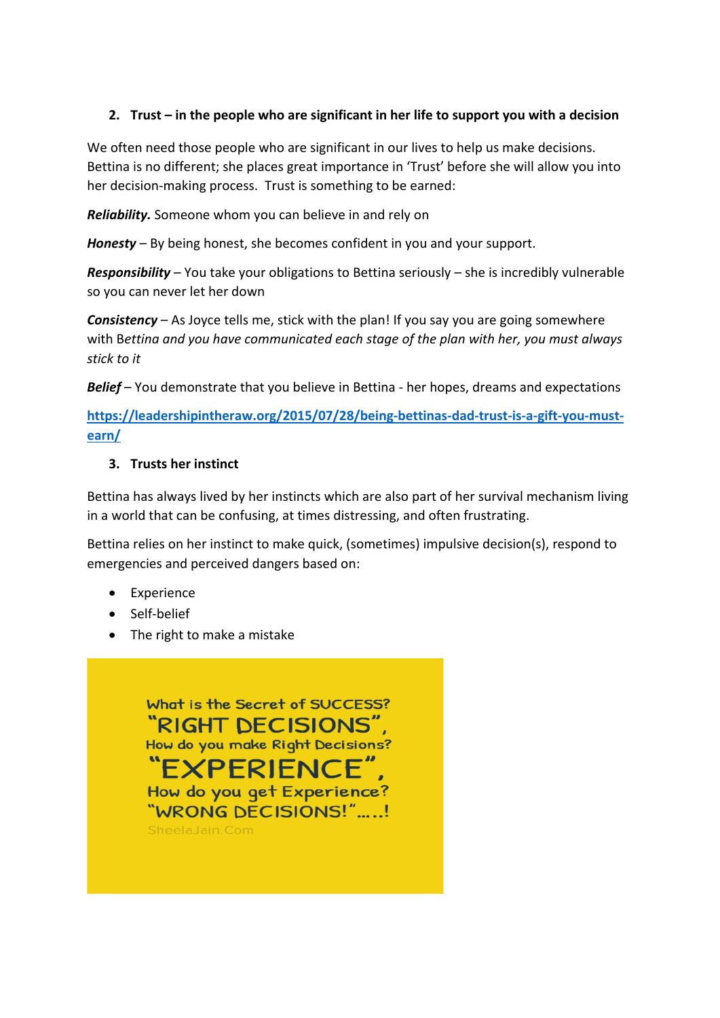## **2. Trust – in the people who are significant in her life to support you with a decision**

We often need those people who are significant in our lives to help us make decisions. Bettina is no different; she places great importance in 'Trust' before she will allow you into her decision-making process. Trust is something to be earned:

*Reliability.* Someone whom you can believe in and rely on

*Honesty* – By being honest, she becomes confident in you and your support.

*Responsibility* – You take your obligations to Bettina seriously – she is incredibly vulnerable so you can never let her down

*Consistency* – As Joyce tells me, stick with the plan! If you say you are going somewhere with B*ettina and you have communicated each stage of the plan with her, you must always stick to it*

*Belief* – You demonstrate that you believe in Bettina - her hopes, dreams and expectations

**[https://leadershipintheraw.org/2015/07/28/being-bettinas-dad-trust-is-a-gift-you-must](https://leadershipintheraw.org/2015/07/28/being-bettinas-dad-trust-is-a-gift-you-must-earn/)[earn/](https://leadershipintheraw.org/2015/07/28/being-bettinas-dad-trust-is-a-gift-you-must-earn/)** 

#### **3. Trusts her instinct**

Bettina has always lived by her instincts which are also part of her survival mechanism living in a world that can be confusing, at times distressing, and often frustrating.

Bettina relies on her instinct to make quick, (sometimes) impulsive decision(s), respond to emergencies and perceived dangers based on:

- Experience
- Self-belief
- The right to make a mistake

What is the Secret of SUCCESS? "RIGHT DECISIONS", How do you make Right Decisions? EXPERIENCE", How do you get Experience? "WRONG DECISIONS!".....! SheelaJain.Com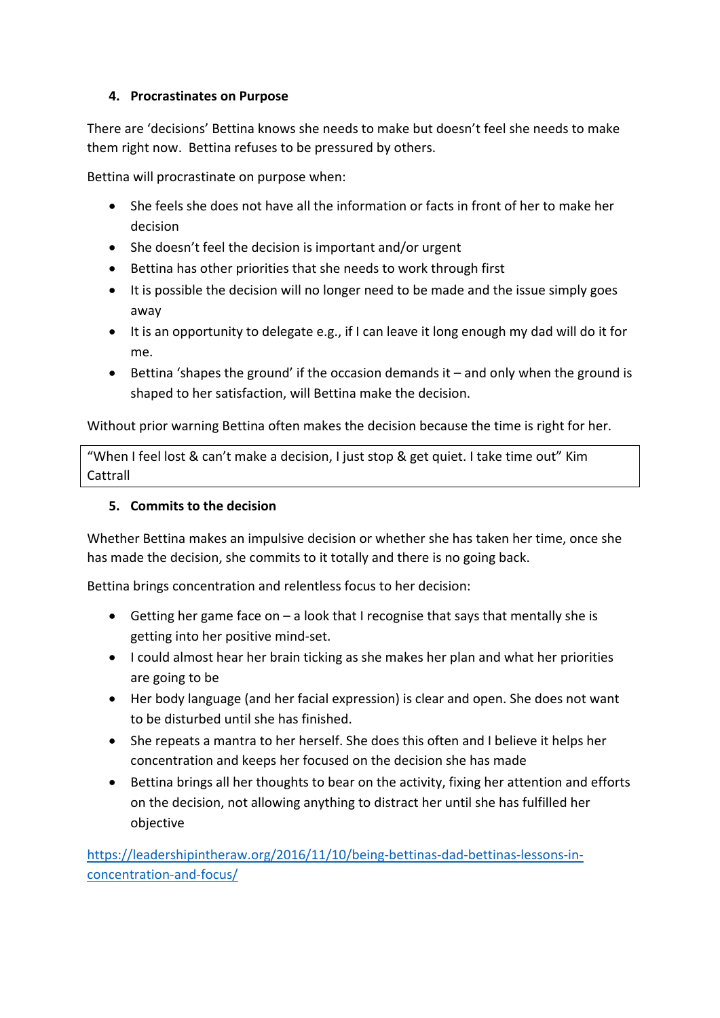### **4. Procrastinates on Purpose**

There are 'decisions' Bettina knows she needs to make but doesn't feel she needs to make them right now. Bettina refuses to be pressured by others.

Bettina will procrastinate on purpose when:

- She feels she does not have all the information or facts in front of her to make her decision
- She doesn't feel the decision is important and/or urgent
- Bettina has other priorities that she needs to work through first
- It is possible the decision will no longer need to be made and the issue simply goes away
- It is an opportunity to delegate e.g., if I can leave it long enough my dad will do it for me.
- Bettina 'shapes the ground' if the occasion demands it and only when the ground is shaped to her satisfaction, will Bettina make the decision.

Without prior warning Bettina often makes the decision because the time is right for her.

"When I feel lost & can't make a decision, I just stop & get quiet. I take time out" Kim Cattrall

## **5. Commits to the decision**

Whether Bettina makes an impulsive decision or whether she has taken her time, once she has made the decision, she commits to it totally and there is no going back.

Bettina brings concentration and relentless focus to her decision:

- Getting her game face on a look that I recognise that says that mentally she is getting into her positive mind-set.
- I could almost hear her brain ticking as she makes her plan and what her priorities are going to be
- Her body language (and her facial expression) is clear and open. She does not want to be disturbed until she has finished.
- She repeats a mantra to her herself. She does this often and I believe it helps her concentration and keeps her focused on the decision she has made
- Bettina brings all her thoughts to bear on the activity, fixing her attention and efforts on the decision, not allowing anything to distract her until she has fulfilled her objective

[https://leadershipintheraw.org/2016/11/10/being-bettinas-dad-bettinas-lessons-in](https://leadershipintheraw.org/2016/11/10/being-bettinas-dad-bettinas-lessons-in-concentration-and-focus/)[concentration-and-focus/](https://leadershipintheraw.org/2016/11/10/being-bettinas-dad-bettinas-lessons-in-concentration-and-focus/)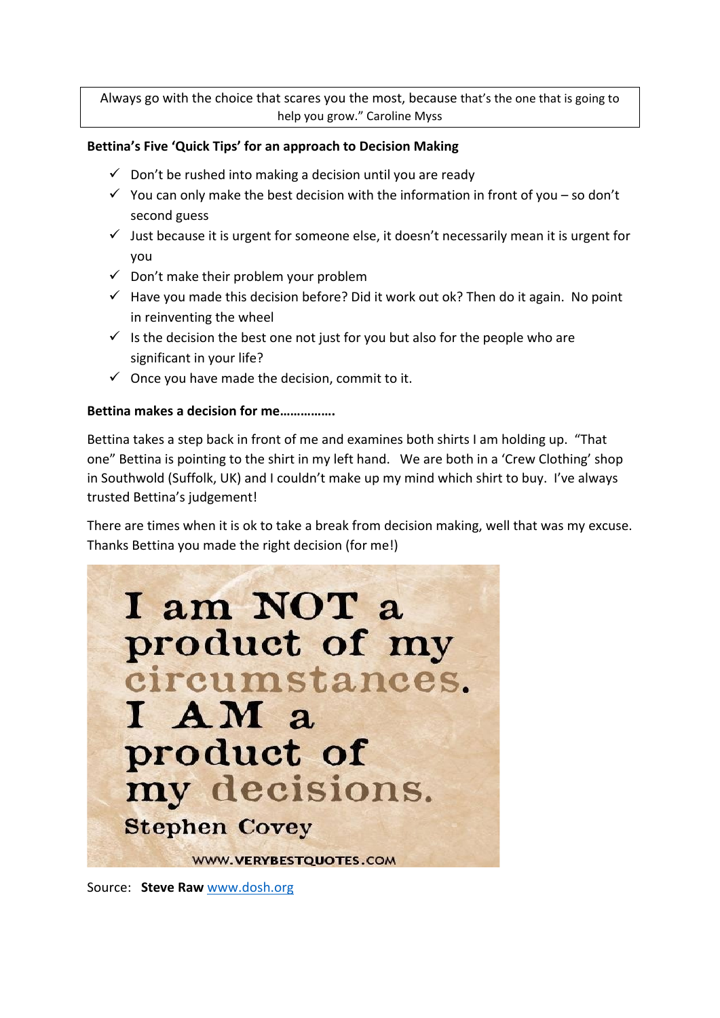Always go with the choice that scares you the most, because that's the one that is going to help you grow." Caroline Myss

#### **Bettina's Five 'Quick Tips' for an approach to Decision Making**

- $\checkmark$  Don't be rushed into making a decision until you are ready
- $\checkmark$  You can only make the best decision with the information in front of you so don't second guess
- $\checkmark$  Just because it is urgent for someone else, it doesn't necessarily mean it is urgent for you
- $\checkmark$  Don't make their problem your problem
- $\checkmark$  Have you made this decision before? Did it work out ok? Then do it again. No point in reinventing the wheel
- $\checkmark$  is the decision the best one not just for you but also for the people who are significant in your life?
- $\checkmark$  Once you have made the decision, commit to it.

#### **Bettina makes a decision for me…………….**

Bettina takes a step back in front of me and examines both shirts I am holding up. "That one" Bettina is pointing to the shirt in my left hand. We are both in a 'Crew Clothing' shop in Southwold (Suffolk, UK) and I couldn't make up my mind which shirt to buy. I've always trusted Bettina's judgement!

There are times when it is ok to take a break from decision making, well that was my excuse. Thanks Bettina you made the right decision (for me!)



Source: **Steve Raw** [www.dosh.org](http://www.dosh.org/)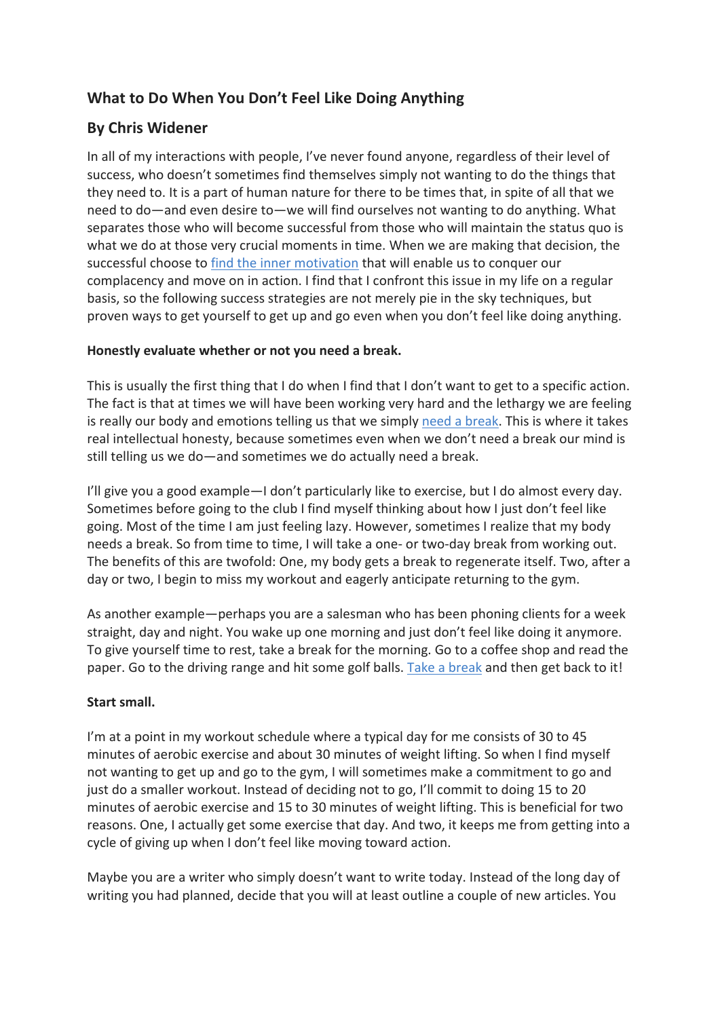# **What to Do When You Don't Feel Like Doing Anything**

# **By Chris Widener**

In all of my interactions with people, I've never found anyone, regardless of their level of success, who doesn't sometimes find themselves simply not wanting to do the things that they need to. It is a part of human nature for there to be times that, in spite of all that we need to do—and even desire to—we will find ourselves not wanting to do anything. What separates those who will become successful from those who will maintain the status quo is what we do at those very crucial moments in time. When we are making that decision, the successful choose to [find the inner motivation](https://www.success.com/9-ways-to-motivate-yourself-when-youre-stuck/?utm_medium=email&utm_source=hs_email&utm_campaign=Inside%20SUCCESS&utm_content=216110891&utm_medium=email&utm_source=hs_email&utm_campaign=Inside%20SUCCESS&utm_content=216110891) that will enable us to conquer our complacency and move on in action. I find that I confront this issue in my life on a regular basis, so the following success strategies are not merely pie in the sky techniques, but proven ways to get yourself to get up and go even when you don't feel like doing anything.

### **Honestly evaluate whether or not you need a break.**

This is usually the first thing that I do when I find that I don't want to get to a specific action. The fact is that at times we will have been working very hard and the lethargy we are feeling is really our body and emotions telling us that we simply [need a break.](https://www.success.com/what-good-self-care-looks-like/?utm_medium=email&utm_source=hs_email&utm_campaign=Inside%20SUCCESS&utm_content=216110891&utm_medium=email&utm_source=hs_email&utm_campaign=Inside%20SUCCESS&utm_content=216110891) This is where it takes real intellectual honesty, because sometimes even when we don't need a break our mind is still telling us we do—and sometimes we do actually need a break.

I'll give you a good example—I don't particularly like to exercise, but I do almost every day. Sometimes before going to the club I find myself thinking about how I just don't feel like going. Most of the time I am just feeling lazy. However, sometimes I realize that my body needs a break. So from time to time, I will take a one- or two-day break from working out. The benefits of this are twofold: One, my body gets a break to regenerate itself. Two, after a day or two, I begin to miss my workout and eagerly anticipate returning to the gym.

As another example—perhaps you are a salesman who has been phoning clients for a week straight, day and night. You wake up one morning and just don't feel like doing it anymore. To give yourself time to rest, take a break for the morning. Go to a coffee shop and read the paper. Go to the driving range and hit some golf balls. [Take a break](https://www.success.com/stuck-on-a-problem-take-a-break/?utm_medium=email&utm_source=hs_email&utm_campaign=Inside%20SUCCESS&utm_content=216110891&utm_medium=email&utm_source=hs_email&utm_campaign=Inside%20SUCCESS&utm_content=216110891) and then get back to it!

### **Start small.**

I'm at a point in my workout schedule where a typical day for me consists of 30 to 45 minutes of aerobic exercise and about 30 minutes of weight lifting. So when I find myself not wanting to get up and go to the gym, I will sometimes make a commitment to go and just do a smaller workout. Instead of deciding not to go, I'll commit to doing 15 to 20 minutes of aerobic exercise and 15 to 30 minutes of weight lifting. This is beneficial for two reasons. One, I actually get some exercise that day. And two, it keeps me from getting into a cycle of giving up when I don't feel like moving toward action.

Maybe you are a writer who simply doesn't want to write today. Instead of the long day of writing you had planned, decide that you will at least outline a couple of new articles. You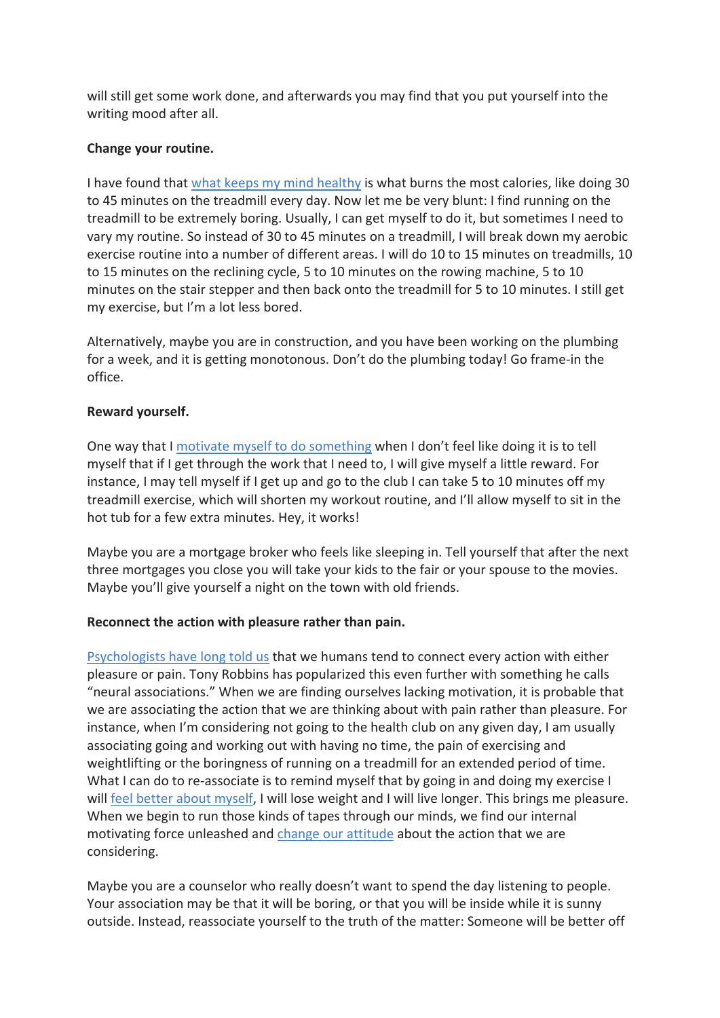will still get some work done, and afterwards you may find that you put yourself into the writing mood after all.

### **Change your routine.**

I have found that [what keeps my mind healthy](https://www.psychologytoday.com/us/blog/the-athletes-way/202112/want-keep-your-mind-sharp-keep-your-body-strong?utm_medium=email&utm_source=hs_email&utm_campaign=Inside%20SUCCESS&utm_content=216110891) is what burns the most calories, like doing 30 to 45 minutes on the treadmill every day. Now let me be very blunt: I find running on the treadmill to be extremely boring. Usually, I can get myself to do it, but sometimes I need to vary my routine. So instead of 30 to 45 minutes on a treadmill, I will break down my aerobic exercise routine into a number of different areas. I will do 10 to 15 minutes on treadmills, 10 to 15 minutes on the reclining cycle, 5 to 10 minutes on the rowing machine, 5 to 10 minutes on the stair stepper and then back onto the treadmill for 5 to 10 minutes. I still get my exercise, but I'm a lot less bored.

Alternatively, maybe you are in construction, and you have been working on the plumbing for a week, and it is getting monotonous. Don't do the plumbing today! Go frame-in the office.

### **Reward yourself.**

One way that I [motivate myself to do something](https://www.success.com/6-simple-ways-to-find-motivation-in-your-everyday-life/?utm_medium=email&utm_source=hs_email&utm_campaign=Inside%20SUCCESS&utm_content=216110891&utm_medium=email&utm_source=hs_email&utm_campaign=Inside%20SUCCESS&utm_content=216110891) when I don't feel like doing it is to tell myself that if I get through the work that I need to, I will give myself a little reward. For instance, I may tell myself if I get up and go to the club I can take 5 to 10 minutes off my treadmill exercise, which will shorten my workout routine, and I'll allow myself to sit in the hot tub for a few extra minutes. Hey, it works!

Maybe you are a mortgage broker who feels like sleeping in. Tell yourself that after the next three mortgages you close you will take your kids to the fair or your spouse to the movies. Maybe you'll give yourself a night on the town with old friends.

### **Reconnect the action with pleasure rather than pain.**

[Psychologists have long told us](https://digitalcommons.uri.edu/cgi/viewcontent.cgi?article=1068&context=kinesiology_facpubs&utm_medium=email&utm_source=hs_email&utm_campaign=Inside%20SUCCESS&utm_content=216110891) that we humans tend to connect every action with either pleasure or pain. Tony Robbins has popularized this even further with something he calls "neural associations." When we are finding ourselves lacking motivation, it is probable that we are associating the action that we are thinking about with pain rather than pleasure. For instance, when I'm considering not going to the health club on any given day, I am usually associating going and working out with having no time, the pain of exercising and weightlifting or the boringness of running on a treadmill for an extended period of time. What I can do to re-associate is to remind myself that by going in and doing my exercise I will [feel better about myself,](https://www.success.com/why-focusing-on-your-personal-growth-now-is-more-important-than-ever/?utm_medium=email&utm_source=hs_email&utm_campaign=Inside%20SUCCESS&utm_content=216110891&utm_medium=email&utm_source=hs_email&utm_campaign=Inside%20SUCCESS&utm_content=216110891) I will lose weight and I will live longer. This brings me pleasure. When we begin to run those kinds of tapes through our minds, we find our internal motivating force unleashed and [change our attitude](https://www.success.com/why-attitude-matters/?utm_medium=email&utm_source=hs_email&utm_campaign=Inside%20SUCCESS&utm_content=216110891&utm_medium=email&utm_source=hs_email&utm_campaign=Inside%20SUCCESS&utm_content=216110891) about the action that we are considering.

Maybe you are a counselor who really doesn't want to spend the day listening to people. Your association may be that it will be boring, or that you will be inside while it is sunny outside. Instead, reassociate yourself to the truth of the matter: Someone will be better off